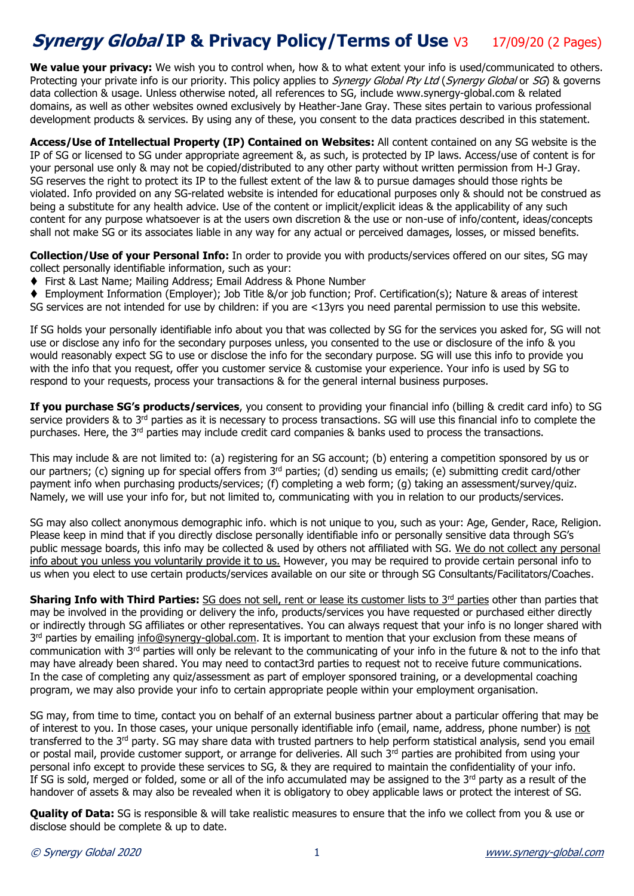## **Synergy Global IP & Privacy Policy/Terms of Use V3 17/09/20 (2 Pages)**

**We value your privacy:** We wish you to control when, how & to what extent your info is used/communicated to others. Protecting your private info is our priority. This policy applies to *Synergy Global Pty Ltd (Synergy Global* or SG) & governs data collection & usage. Unless otherwise noted, all references to SG, include www.synergy-global.com & related domains, as well as other websites owned exclusively by Heather-Jane Gray. These sites pertain to various professional development products & services. By using any of these, you consent to the data practices described in this statement.

**Access/Use of Intellectual Property (IP) Contained on Websites:** All content contained on any SG website is the IP of SG or licensed to SG under appropriate agreement &, as such, is protected by IP laws. Access/use of content is for your personal use only & may not be copied/distributed to any other party without written permission from H-J Gray. SG reserves the right to protect its IP to the fullest extent of the law & to pursue damages should those rights be violated. Info provided on any SG-related website is intended for educational purposes only & should not be construed as being a substitute for any health advice. Use of the content or implicit/explicit ideas & the applicability of any such content for any purpose whatsoever is at the users own discretion & the use or non-use of info/content, ideas/concepts shall not make SG or its associates liable in any way for any actual or perceived damages, losses, or missed benefits.

**Collection/Use of your Personal Info:** In order to provide you with products/services offered on our sites, SG may collect personally identifiable information, such as your:

◆ First & Last Name; Mailing Address; Email Address & Phone Number

◆ Employment Information (Employer); Job Title &/or job function; Prof. Certification(s); Nature & areas of interest SG services are not intended for use by children: if you are <13yrs you need parental permission to use this website.

If SG holds your personally identifiable info about you that was collected by SG for the services you asked for, SG will not use or disclose any info for the secondary purposes unless, you consented to the use or disclosure of the info & you would reasonably expect SG to use or disclose the info for the secondary purpose. SG will use this info to provide you with the info that you request, offer you customer service & customise your experience. Your info is used by SG to respond to your requests, process your transactions & for the general internal business purposes.

**If you purchase SG's products/services**, you consent to providing your financial info (billing & credit card info) to SG service providers & to 3<sup>rd</sup> parties as it is necessary to process transactions. SG will use this financial info to complete the purchases. Here, the 3rd parties may include credit card companies & banks used to process the transactions.

This may include & are not limited to: (a) registering for an SG account; (b) entering a competition sponsored by us or our partners; (c) signing up for special offers from 3<sup>rd</sup> parties; (d) sending us emails; (e) submitting credit card/other payment info when purchasing products/services; (f) completing a web form; (g) taking an assessment/survey/quiz. Namely, we will use your info for, but not limited to, communicating with you in relation to our products/services.

SG may also collect anonymous demographic info. which is not unique to you, such as your: Age, Gender, Race, Religion. Please keep in mind that if you directly disclose personally identifiable info or personally sensitive data through SG's public message boards, this info may be collected & used by others not affiliated with SG. We do not collect any personal info about you unless you voluntarily provide it to us. However, you may be required to provide certain personal info to us when you elect to use certain products/services available on our site or through SG Consultants/Facilitators/Coaches.

**Sharing Info with Third Parties:** SG does not sell, rent or lease its customer lists to 3<sup>rd</sup> parties other than parties that may be involved in the providing or delivery the info, products/services you have requested or purchased either directly or indirectly through SG affiliates or other representatives. You can always request that your info is no longer shared with 3<sup>rd</sup> parties by emailing [info@synergy-global.com.](mailto:info@synergy-global.com) It is important to mention that your exclusion from these means of communication with 3<sup>rd</sup> parties will only be relevant to the communicating of your info in the future & not to the info that may have already been shared. You may need to contact3rd parties to request not to receive future communications. In the case of completing any quiz/assessment as part of employer sponsored training, or a developmental coaching program, we may also provide your info to certain appropriate people within your employment organisation.

SG may, from time to time, contact you on behalf of an external business partner about a particular offering that may be of interest to you. In those cases, your unique personally identifiable info (email, name, address, phone number) is not transferred to the  $3<sup>rd</sup>$  party. SG may share data with trusted partners to help perform statistical analysis, send you email or postal mail, provide customer support, or arrange for deliveries. All such 3<sup>rd</sup> parties are prohibited from using your personal info except to provide these services to SG, & they are required to maintain the confidentiality of your info. If SG is sold, merged or folded, some or all of the info accumulated may be assigned to the 3rd party as a result of the handover of assets & may also be revealed when it is obligatory to obey applicable laws or protect the interest of SG.

**Quality of Data:** SG is responsible & will take realistic measures to ensure that the info we collect from you & use or disclose should be complete & up to date.